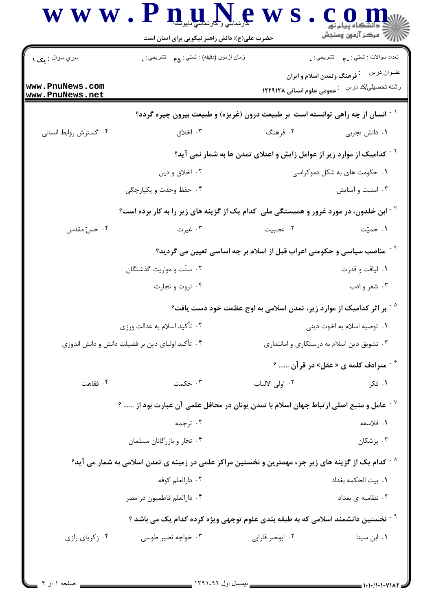|                                                 | حضرت علی(ع): دانش راهبر نیکویی برای ایمان است                                                                  |                              |                                                                                                           |  |
|-------------------------------------------------|----------------------------------------------------------------------------------------------------------------|------------------------------|-----------------------------------------------------------------------------------------------------------|--|
| سري سوال : يک ۱                                 | زمان أزمون (دقيقه) : تستي : <sub>۴۵</sub> تشريحي : <sub>.</sub>                                                |                              | تعداد سوالات : تستي : پم       تشريحي : .                                                                 |  |
| www.PnuNews.com<br>www.PnuNews.net              |                                                                                                                |                              | عنــوان درس<br><sup>:</sup> فرهنگ وتمدن اسلام و ایران<br>رشته تحصیلی/کد در س۔ : عمومی علوم انسانی ۱۲۲۹۱۲۸ |  |
|                                                 | <sup>۱ -</sup> انسان از چه راهی توانسته است بر طبیعت درون (غریزه) و طبیعت بیرون چیره گردد؟                     |                              |                                                                                                           |  |
| ۰۴ گسترش روابط انسانی                           | ۰۳ اخلاق                                                                                                       | ۰۲ فرهنگ                     | ٠١ دانش تجربي                                                                                             |  |
|                                                 | <sup>۲ -</sup> کدامیک از موارد زیر از عوامل زایش و اعتلای تمدن ها به شمار نمی اید؟                             |                              |                                                                                                           |  |
|                                                 | ۰۲ اخلاق و دين                                                                                                 | ۰۱ حکومت های به شکل دموکراسی |                                                                                                           |  |
|                                                 | ۰۴ حفظ وحدت و یکپارچگی                                                                                         |                              | ۰۳ امنیت و آسایش                                                                                          |  |
|                                                 | <sup>۳ -</sup> ابن خلدون، در مورد غرور و همبستگی ملی کدام یک از گزینه های زیر را به کار برده است؟              |                              |                                                                                                           |  |
| ۰۴ حسّ مقدس                                     | ۰۳ غیرت                                                                                                        | ۰۲ عصبیت                     | ۰۱ حمیّت                                                                                                  |  |
|                                                 | <sup>۲۰</sup> مناصب سیاسی و حکومتی اعراب قبل از اسلام بر چه اساسی تعیین می گردید؟                              |                              |                                                                                                           |  |
|                                                 | ۰۲ سنّت و مواریث گذشتگان                                                                                       | ۰۱ لياقت و قدرت              |                                                                                                           |  |
|                                                 | ۰۴ ثروت و تجارت                                                                                                | ۰۳ شعر و ادب                 |                                                                                                           |  |
|                                                 | <sup>۵ -</sup> بر اثر کدامیک از موارد زیر، تمدن اسلامی به اوج عظمت خود دست یافت؟                               |                              |                                                                                                           |  |
| ۰۲ تأکید اسلام به عدالت ورزی                    |                                                                                                                | ۰۱ توصیه اسلام به اخوت دینی  |                                                                                                           |  |
| ۰۴ تأکید اولیای دین بر فضیلت دانش و دانش اندوزی |                                                                                                                |                              | ۰۳ تشویق دین اسلام به درستکاری و امانتداری                                                                |  |
|                                                 |                                                                                                                |                              | <sup>۶ -</sup> مترادف کلمه ی « عقل» در قرآن  ؟                                                            |  |
| ۰۴ فقاهت                                        | ۰۳ حکمت                                                                                                        | ٠٢ اولى الالباب              | ۰۱ فکر                                                                                                    |  |
|                                                 | $^{\circ}$ عامل و منبع اصلی ارتباط جهان اسلام با تمدن یونان در محافل علمی آن عبارت بود از  ؟ $^{\circ}$        |                              |                                                                                                           |  |
|                                                 | ۰۲ ترجمه                                                                                                       |                              | ١. فلاسفه                                                                                                 |  |
|                                                 | ۰۴ تجار و بازرگانان مسلمان                                                                                     |                              | ۰۳ پزشکان                                                                                                 |  |
|                                                 | <sup>^ -</sup> کدام یک از گزینه های زیر جزء مهمترین و نخستین مراکز علمی در زمینه ی تمدن اسلامی به شمار می آید؟ |                              |                                                                                                           |  |
|                                                 | ۰۲ دارالعلم کوفه                                                                                               |                              | ٠١. بيت الحكمه بغداد                                                                                      |  |
|                                                 | ۰۴ دارالعلم فاطمیون در مصر                                                                                     |                              | ۰۳ نظامیه ی بغداد                                                                                         |  |
|                                                 | <sup>۹ -</sup> نخستین دانشمند اسلامی که به طبقه بندی علوم توجهی ویژه کرده کدام یک می باشد ؟                    |                              |                                                                                                           |  |
| ۰۴ زکریای رازی                                  | ۰۳ خواجه نصیر طوسی                                                                                             | ۰۲ ابونصر فاراب <i>ی</i>     | ۰۱ ابن سينا                                                                                               |  |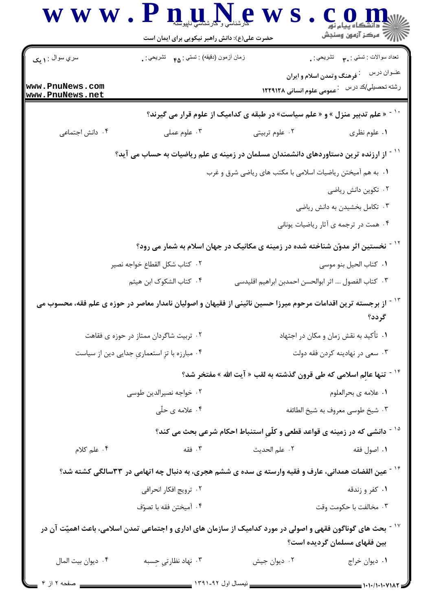|                                               | حضرت علی(ع): دانش راهبر نیکویی برای ایمان است                                                                                                                                                                                                                                                                       |                                                                                                                |                |  |
|-----------------------------------------------|---------------------------------------------------------------------------------------------------------------------------------------------------------------------------------------------------------------------------------------------------------------------------------------------------------------------|----------------------------------------------------------------------------------------------------------------|----------------|--|
| سري سوال : ۱ يک                               | زمان أزمون (دقيقه) : تستي : ۴۵ — تشريحي : .                                                                                                                                                                                                                                                                         | نعداد سوالات : تستبي : پم       تشريحي : .                                                                     |                |  |
| www.PnuNews.com<br>www.PnuNews.net            |                                                                                                                                                                                                                                                                                                                     | <sup>:</sup> فرهنگ وتمدن اسلام و ایران<br>رشته تحصیلي/کد در س <sup>2</sup> . عمومی علوم انسانی ۱۲۲۹۱۲۸         | عنــوان درس    |  |
|                                               |                                                                                                                                                                                                                                                                                                                     | « علم تدبیر منزل » و « علم سیاست» در طبقه ی کدامیک از علوم قرار می گیرند؟                                      |                |  |
| ۰۴ دانش اجتماعی                               | ۰۳ علوم عملی                                                                                                                                                                                                                                                                                                        | ۰۲ علوم تربیتی                                                                                                 | ۰۱ علوم نظری   |  |
|                                               |                                                                                                                                                                                                                                                                                                                     | <sup>۱۱ -</sup> از ارزنده ترین دستاوردهای دانشمندان مسلمان در زمینه ی علم ریاضیات به حساب می آید؟              |                |  |
|                                               |                                                                                                                                                                                                                                                                                                                     | ۰۱ به هم آمیختن ریاضیات اسلامی با مکتب های ریاضی شرق و غرب                                                     |                |  |
|                                               |                                                                                                                                                                                                                                                                                                                     | ۰۲ تکوین دانش ریاضی                                                                                            |                |  |
|                                               |                                                                                                                                                                                                                                                                                                                     | ۰۳ تکامل بخشیدن به دانش ریاضی                                                                                  |                |  |
|                                               |                                                                                                                                                                                                                                                                                                                     | ۰۴ همت در ترجمه ی آثار ریاضیات یونانی                                                                          |                |  |
|                                               |                                                                                                                                                                                                                                                                                                                     | <sup>۱۲ -</sup> نخستین اثر مدوّن شناخته شده در زمینه ی مکانیک در جهان اسلام به شمار می رود؟                    |                |  |
|                                               | ۰۲ كتاب شكل القطاع خواجه نصير                                                                                                                                                                                                                                                                                       | ٠١. كتاب الحيل بنو موسى                                                                                        |                |  |
|                                               | ۰۴ کتاب الشکوک ابن هیثم                                                                                                                                                                                                                                                                                             | ٠٣ كتاب الفصول …. اثر ابوالحسن احمدبن ابراهيم اقليدسي                                                          |                |  |
|                                               |                                                                                                                                                                                                                                                                                                                     | از برجسته ترین اقدامات مرحوم میرزا حسین نائینی از فقیهان و اصولیان نامدار معاصر در حوزه ی علم فقه، محسوب می    | گر دد؟         |  |
|                                               | ۰۲ تربیت شاگردان ممتاز در حوزه ی فقاهت                                                                                                                                                                                                                                                                              | ۰۱ تأکید به نقش زمان و مکان در اجتهاد                                                                          |                |  |
| ۰۴ مبارزه با تزِ استعماریِ جدایی دین از سیاست |                                                                                                                                                                                                                                                                                                                     | ۰۳ سعی در نهادینه کردن فقه دولت                                                                                |                |  |
|                                               |                                                                                                                                                                                                                                                                                                                     | <sup>۱۴ -</sup> تنها عالِم اسلامی که طی قرون گذشته به لقب « آیت الله » مفتخر شد؟                               |                |  |
| ۰۲ خواجه نصیرالدین طوسی                       |                                                                                                                                                                                                                                                                                                                     | ٠١ علامه ي بحرالعلوم                                                                                           |                |  |
| ۰۴ علامه ی حلّی                               |                                                                                                                                                                                                                                                                                                                     | ۰۳ شیخ طوسی معروف به شیخ الطائفه                                                                               |                |  |
|                                               |                                                                                                                                                                                                                                                                                                                     | <sup>۱۵ -</sup> دانشی که در زمینه ی قواعد قطعی و کلّیِ استنباط احکام شرعی بحث می کند؟                          |                |  |
| ۰۴ علم کلام                                   | ۰۳ فقه                                                                                                                                                                                                                                                                                                              | ٠٢ علم الحديث                                                                                                  | ٠١. اصول فقه   |  |
|                                               |                                                                                                                                                                                                                                                                                                                     | گشتین القضات همدانی، عارف و فقیه وارسته ی سده ی ششم هجری، به دنبال چه اتهامی در ۳۳سالگی کشته شد؟               |                |  |
| ۰۲ ترویج افکار انحرافی                        |                                                                                                                                                                                                                                                                                                                     |                                                                                                                | ۰۱ کفر و زندقه |  |
|                                               | ۰۴ آميختن فقه با تصوّف                                                                                                                                                                                                                                                                                              | ۰۳ مخالفت با حکومت وقت                                                                                         |                |  |
|                                               |                                                                                                                                                                                                                                                                                                                     | ٔ ` آ بحث های گوناگون فقهی و اصولی در مورد کدامیک از سازمان های اداری و اجتماعی تمدن اسلامی، باعث اهمیّت آن در |                |  |
|                                               |                                                                                                                                                                                                                                                                                                                     | بین فقهای مسلمان گردیده است؟                                                                                   |                |  |
| ۰۴ ديوان بيت المال                            | ۰۳ نهاد نظارتي حِسبه                                                                                                                                                                                                                                                                                                | ۰۲ دیوان جیش                                                                                                   | ۰۱ دیوان خراج  |  |
| $f \parallel f \parallel$                     | $ \frac{15}{2}$ $\frac{1}{2}$ $\frac{1}{2}$ $\frac{1}{2}$ $\frac{1}{2}$ $\frac{1}{2}$ $\frac{1}{2}$ $\frac{1}{2}$ $\frac{1}{2}$ $\frac{1}{2}$ $\frac{1}{2}$ $\frac{1}{2}$ $\frac{1}{2}$ $\frac{1}{2}$ $\frac{1}{2}$ $\frac{1}{2}$ $\frac{1}{2}$ $\frac{1}{2}$ $\frac{1}{2}$ $\frac{1}{2}$ $\frac{1}{2}$ $\frac{1}{$ |                                                                                                                | 1.11111111111  |  |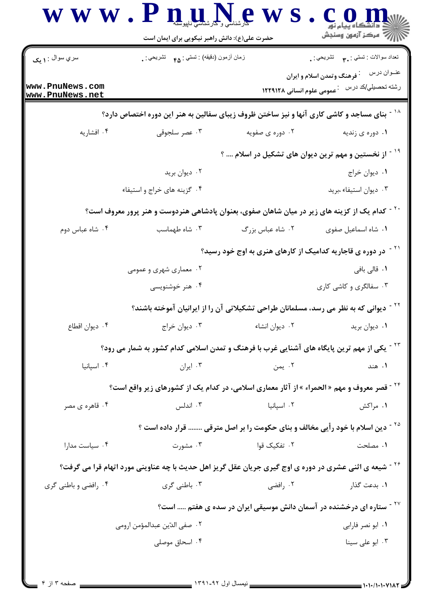| سري سوال : ۱ يک                    | زمان أزمون (دقيقه) : تستى : هم     تشريحي : .                                                                     |                  | تعداد سوالات : تستي : ٣. ســــ تشريحي : .                                       |
|------------------------------------|-------------------------------------------------------------------------------------------------------------------|------------------|---------------------------------------------------------------------------------|
|                                    |                                                                                                                   |                  | عنــوان درس<br><sup>:</sup> فرهنگ وتمدن اسلام و ایران                           |
| www.PnuNews.com<br>www.PnuNews.net |                                                                                                                   |                  | رشته تحصیلي/کد در س۔ : عمومی علوم انسانی ۱۲۲۹۱۲۸                                |
|                                    | <sup>۱۸ -</sup> بنای مساجد و کاشی کاری آنها و نیز ساختن ظروف زیبای سفالین به هنر این دوره اختصاص دارد؟            |                  |                                                                                 |
| ۰۴ افشاریه                         | ۰۳ عصر سلجوقی                                                                                                     | ۰۲ دوره ی صفویه  | ۰۱ دوره ی زندیه                                                                 |
|                                    |                                                                                                                   |                  | <sup>۱۹ -</sup> از نخستین و مهم ترین دیوان های تشکیل در اسلام  ؟                |
|                                    | ۰۲ دیوان برید                                                                                                     |                  | ٠١ ديوان خراج                                                                   |
|                                    | ۰۴ گزینه های خراج و استیفاء                                                                                       |                  | ٠٣ ديوان استيفاء ،بريد                                                          |
|                                    | <sup>۲ -</sup> کدام یک از کزینه های زیر در میان شاهان صفوی، بعنوان پادشاهی هنردوست و هنر پرور معروف است؟          |                  |                                                                                 |
| ۰۴ شاه عباس دوم                    | ۰۳ شاه طهماسب                                                                                                     | ۰۲ شاه عباس بزرگ | ٠١ شاه اسماعيل صفوى                                                             |
|                                    | <sup>۲۱ -</sup> در دوره ی قاجاریه کدامیک از کارهای هنری به اوج خود رسید؟                                          |                  |                                                                                 |
|                                    | ۰۲ معماری شهری و عمومی                                                                                            |                  | ۰۱ قالی بافی                                                                    |
|                                    | ۰۴ هنر خوشنویسی                                                                                                   |                  | ۰۳ سفالگری و کاشی کاری                                                          |
|                                    | <sup>۲۲ -</sup> دیوانی که به نظر می رسد، مسلمانان طراحی تشکیلاتی آن را از ایرانیان آموخته باشند؟                  |                  |                                                                                 |
| ۰۴ دیوان اقطاع                     | ۰۱ دیوان برید مسلم ۲۰ دیوان انشاء مسلم ۲۰ دیوان خراج . ۲                                                          |                  |                                                                                 |
|                                    | <sup>۲۳ -</sup> یکی از مهم ترین پایگاه های آشنایی غرب با فرهنگ و تمدن اسلامی کدام کشور به شمار می رود؟            |                  |                                                                                 |
| ۰۴ اسیانیا                         | ۰۳ ایران                                                                                                          | ۰۲ یمن           | ۰۱ هند                                                                          |
|                                    | <sup>۲۴ -</sup> قصر معروف و مهم « الحمراء » از آثار معماری اسلامی، در کدام یک از کشورهای زیر واقع است؟            |                  |                                                                                 |
| ۰۴ قاهره ی مصر                     | ۰۳ اندلس                                                                                                          | ۰۲ اسپانیا       | ۰۱ مراکش                                                                        |
|                                    | <sup>۲۵ -</sup> دین اسلام با خود رأیی مخالف و بنای حکومت را بر اصل مترقی  قرار داده است ؟                         |                  |                                                                                 |
| ۰۴ سیاست مدارا                     | ۰۳ مشورت                                                                                                          | ۰۲ تفکیک قوا     | ۰۱ مصلحت                                                                        |
|                                    | <sup>۲۶ -</sup> شیعه ی اثنی عشری در دوره ی اوج گیری جریان عقل گریز اهل حدیث با چه عناوینی مورد اتهام قرا می گرفت؟ |                  |                                                                                 |
| ۰۴ رافضي و باطني گري               | ۰۳ باطنی گری                                                                                                      | ۰۲ رافضی         | ۰۱ بدعت گذار                                                                    |
|                                    |                                                                                                                   |                  | <sup>۲۷ -</sup> ستاره ای درخشنده در آسمان دانش موسیقی ایران در سده ی هفتم  است؟ |
|                                    | ۰۲ صفى الدّين عبدالمؤمن ارومي                                                                                     |                  | ٠١. ابو نصر فارابي                                                              |
|                                    | ۰۴ اسحاق موصلی                                                                                                    |                  | ۰۳ ابو علی سینا                                                                 |